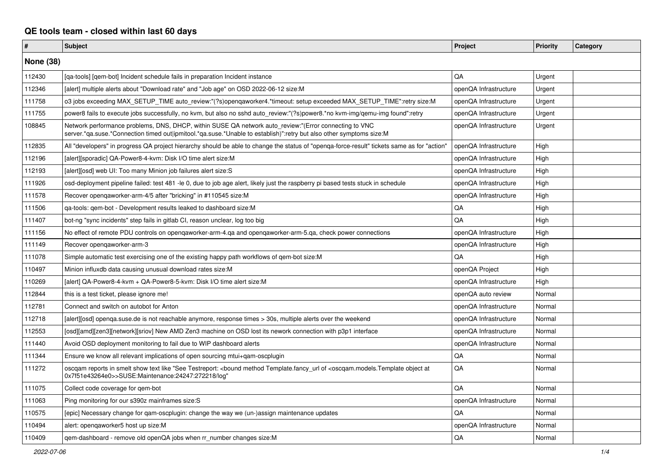## **QE tools team - closed within last 60 days**

| $\pmb{\#}$       | Subject                                                                                                                                                                                                                      | Project               | <b>Priority</b> | Category |
|------------------|------------------------------------------------------------------------------------------------------------------------------------------------------------------------------------------------------------------------------|-----------------------|-----------------|----------|
| <b>None (38)</b> |                                                                                                                                                                                                                              |                       |                 |          |
| 112430           | [ga-tools] [gem-bot] Incident schedule fails in preparation Incident instance                                                                                                                                                | QA                    | Urgent          |          |
| 112346           | [alert] multiple alerts about "Download rate" and "Job age" on OSD 2022-06-12 size:M                                                                                                                                         | openQA Infrastructure | Urgent          |          |
| 111758           | o3 jobs exceeding MAX SETUP TIME auto review:"(?s)opengaworker4.*timeout: setup exceeded MAX SETUP TIME":retry size:M                                                                                                        | openQA Infrastructure | Urgent          |          |
| 111755           | power8 fails to execute jobs successfully, no kvm, but also no sshd auto_review:"(?s)power8.*no kvm-img/qemu-img found":retry                                                                                                | openQA Infrastructure | Urgent          |          |
| 108845           | Network performance problems, DNS, DHCP, within SUSE QA network auto review:"(Error connecting to VNC<br>server.*qa.suse.*Connection timed out ipmitool.*qa.suse.*Unable to establish)":retry but also other symptoms size:M | openQA Infrastructure | Urgent          |          |
| 112835           | All "developers" in progress QA project hierarchy should be able to change the status of "openqa-force-result" tickets same as for "action"                                                                                  | openQA Infrastructure | High            |          |
| 112196           | [alert][sporadic] QA-Power8-4-kvm: Disk I/O time alert size:M                                                                                                                                                                | openQA Infrastructure | High            |          |
| 112193           | [alert][osd] web UI: Too many Minion job failures alert size:S                                                                                                                                                               | openQA Infrastructure | High            |          |
| 111926           | osd-deployment pipeline failed: test 481 -le 0, due to job age alert, likely just the raspberry pi based tests stuck in schedule                                                                                             | openQA Infrastructure | High            |          |
| 111578           | Recover openqaworker-arm-4/5 after "bricking" in #110545 size:M                                                                                                                                                              | openQA Infrastructure | High            |          |
| 111506           | qa-tools: qem-bot - Development results leaked to dashboard size:M                                                                                                                                                           | QA                    | High            |          |
| 111407           | bot-ng "sync incidents" step fails in gitlab CI, reason unclear, log too big                                                                                                                                                 | QA                    | High            |          |
| 111156           | No effect of remote PDU controls on opengaworker-arm-4.ga and opengaworker-arm-5.ga, check power connections                                                                                                                 | openQA Infrastructure | High            |          |
| 111149           | Recover opengaworker-arm-3                                                                                                                                                                                                   | openQA Infrastructure | High            |          |
| 111078           | Simple automatic test exercising one of the existing happy path workflows of gem-bot size:M                                                                                                                                  | QA                    | High            |          |
| 110497           | Minion influxdb data causing unusual download rates size:M                                                                                                                                                                   | openQA Project        | High            |          |
| 110269           | [alert] QA-Power8-4-kvm + QA-Power8-5-kvm: Disk I/O time alert size:M                                                                                                                                                        | openQA Infrastructure | High            |          |
| 112844           | this is a test ticket, please ignore me!                                                                                                                                                                                     | openQA auto review    | Normal          |          |
| 112781           | Connect and switch on autobot for Anton                                                                                                                                                                                      | openQA Infrastructure | Normal          |          |
| 112718           | [alert][osd] openga.suse.de is not reachable anymore, response times > 30s, multiple alerts over the weekend                                                                                                                 | openQA Infrastructure | Normal          |          |
| 112553           | [osd][amd][zen3][network][sriov] New AMD Zen3 machine on OSD lost its nework connection with p3p1 interface                                                                                                                  | openQA Infrastructure | Normal          |          |
| 111440           | Avoid OSD deployment monitoring to fail due to WIP dashboard alerts                                                                                                                                                          | openQA Infrastructure | Normal          |          |
| 111344           | Ensure we know all relevant implications of open sourcing mtui+gam-oscplugin                                                                                                                                                 | QA                    | Normal          |          |
| 111272           | oscgam reports in smelt show text like "See Testreport: <bound <oscgam.models.template="" at<br="" method="" object="" of="" template.fancy="" url="">0x7f51e43264e0&gt;&gt;SUSE:Maintenance:24247:272218/log"</bound>       | QA                    | Normal          |          |
| 111075           | Collect code coverage for qem-bot                                                                                                                                                                                            | QA                    | Normal          |          |
| 111063           | Ping monitoring for our s390z mainframes size:S                                                                                                                                                                              | openQA Infrastructure | Normal          |          |
| 110575           | [epic] Necessary change for gam-oscplugin: change the way we (un-)assign maintenance updates                                                                                                                                 | QA                    | Normal          |          |
| 110494           | alert: opengaworker5 host up size:M                                                                                                                                                                                          | openQA Infrastructure | Normal          |          |
| 110409           | gem-dashboard - remove old openQA jobs when rr number changes size: M                                                                                                                                                        | QA                    | Normal          |          |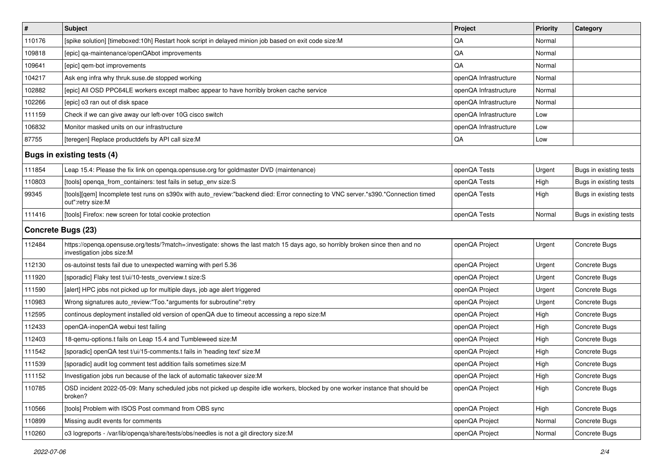| $\vert$ #                  | <b>Subject</b>                                                                                                                                             | <b>Project</b>        | <b>Priority</b> | Category               |
|----------------------------|------------------------------------------------------------------------------------------------------------------------------------------------------------|-----------------------|-----------------|------------------------|
| 110176                     | [spike solution] [timeboxed:10h] Restart hook script in delayed minion job based on exit code size:M                                                       | QA                    | Normal          |                        |
| 109818                     | [epic] qa-maintenance/openQAbot improvements                                                                                                               | QA                    | Normal          |                        |
| 109641                     | [epic] gem-bot improvements                                                                                                                                | QA                    | Normal          |                        |
| 104217                     | Ask eng infra why thruk.suse.de stopped working                                                                                                            | openQA Infrastructure | Normal          |                        |
| 102882                     | [epic] All OSD PPC64LE workers except malbec appear to have horribly broken cache service                                                                  | openQA Infrastructure | Normal          |                        |
| 102266                     | [epic] o3 ran out of disk space                                                                                                                            | openQA Infrastructure | Normal          |                        |
| 111159                     | Check if we can give away our left-over 10G cisco switch                                                                                                   | openQA Infrastructure | Low             |                        |
| 106832                     | Monitor masked units on our infrastructure                                                                                                                 | openQA Infrastructure | Low             |                        |
| 87755                      | [teregen] Replace productdefs by API call size:M                                                                                                           | QA                    | Low             |                        |
| Bugs in existing tests (4) |                                                                                                                                                            |                       |                 |                        |
| 111854                     | Leap 15.4: Please the fix link on openqa.opensuse.org for goldmaster DVD (maintenance)                                                                     | openQA Tests          | Urgent          | Bugs in existing tests |
| 110803                     | [tools] openqa_from_containers: test fails in setup_env size:S                                                                                             | openQA Tests          | High            | Bugs in existing tests |
| 99345                      | [tools][qem] Incomplete test runs on s390x with auto_review:"backend died: Error connecting to VNC server.*s390.*Connection timed<br>out":retry size:M     | openQA Tests          | High            | Bugs in existing tests |
| 111416                     | [tools] Firefox: new screen for total cookie protection                                                                                                    | openQA Tests          | Normal          | Bugs in existing tests |
| <b>Concrete Bugs (23)</b>  |                                                                                                                                                            |                       |                 |                        |
| 112484                     | https://openqa.opensuse.org/tests/?match=:investigate: shows the last match 15 days ago, so horribly broken since then and no<br>investigation jobs size:M | openQA Project        | Urgent          | Concrete Bugs          |
| 112130                     | os-autoinst tests fail due to unexpected warning with perl 5.36                                                                                            | openQA Project        | Urgent          | Concrete Bugs          |
| 111920                     | [sporadic] Flaky test t/ui/10-tests_overview.t size:S                                                                                                      | openQA Project        | Urgent          | Concrete Bugs          |
| 111590                     | [alert] HPC jobs not picked up for multiple days, job age alert triggered                                                                                  | openQA Project        | Urgent          | Concrete Bugs          |
| 110983                     | Wrong signatures auto_review:"Too.*arguments for subroutine":retry                                                                                         | openQA Project        | Urgent          | Concrete Bugs          |
| 112595                     | continous deployment installed old version of openQA due to timeout accessing a repo size:M                                                                | openQA Project        | High            | Concrete Bugs          |
| 112433                     | openQA-inopenQA webui test failing                                                                                                                         | openQA Project        | High            | Concrete Bugs          |
| 112403                     | 18-qemu-options.t fails on Leap 15.4 and Tumbleweed size:M                                                                                                 | openQA Project        | High            | Concrete Bugs          |
| 111542                     | [sporadic] openQA test t/ui/15-comments.t fails in 'heading text' size:M                                                                                   | openQA Project        | High            | Concrete Bugs          |
| 111539                     | [sporadic] audit log comment test addition fails sometimes size:M                                                                                          | openQA Project        | High            | Concrete Bugs          |
| 111152                     | Investigation jobs run because of the lack of automatic takeover size:M                                                                                    | openQA Project        | High            | Concrete Bugs          |
| 110785                     | OSD incident 2022-05-09: Many scheduled jobs not picked up despite idle workers, blocked by one worker instance that should be<br>broken?                  | openQA Project        | High            | Concrete Bugs          |
| 110566                     | [tools] Problem with ISOS Post command from OBS sync                                                                                                       | openQA Project        | High            | Concrete Bugs          |
| 110899                     | Missing audit events for comments                                                                                                                          | openQA Project        | Normal          | Concrete Bugs          |
| 110260                     | o3 logreports - /var/lib/openqa/share/tests/obs/needles is not a git directory size:M                                                                      | openQA Project        | Normal          | Concrete Bugs          |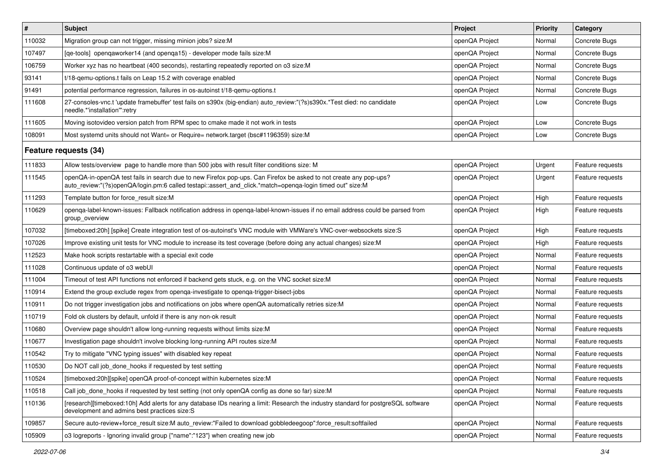| $\sharp$              | <b>Subject</b>                                                                                                                                                                                                                 | Project        | <b>Priority</b> | Category         |
|-----------------------|--------------------------------------------------------------------------------------------------------------------------------------------------------------------------------------------------------------------------------|----------------|-----------------|------------------|
| 110032                | Migration group can not trigger, missing minion jobs? size:M                                                                                                                                                                   | openQA Project | Normal          | Concrete Bugs    |
| 107497                | [qe-tools] openqaworker14 (and openqa15) - developer mode fails size: M                                                                                                                                                        | openQA Project | Normal          | Concrete Bugs    |
| 106759                | Worker xyz has no heartbeat (400 seconds), restarting repeatedly reported on o3 size:M                                                                                                                                         | openQA Project | Normal          | Concrete Bugs    |
| 93141                 | t/18-gemu-options.t fails on Leap 15.2 with coverage enabled                                                                                                                                                                   | openQA Project | Normal          | Concrete Bugs    |
| 91491                 | potential performance regression, failures in os-autoinst t/18-gemu-options.t                                                                                                                                                  | openQA Project | Normal          | Concrete Bugs    |
| 111608                | 27-consoles-vnc.t 'update framebuffer' test fails on s390x (big-endian) auto_review:"(?s)s390x.*Test died: no candidate<br>needle.*'installation'":retry                                                                       | openQA Project | Low             | Concrete Bugs    |
| 111605                | Moving isotovideo version patch from RPM spec to cmake made it not work in tests                                                                                                                                               | openQA Project | Low             | Concrete Bugs    |
| 108091                | Most systemd units should not Want= or Require= network.target (bsc#1196359) size:M                                                                                                                                            | openQA Project | Low             | Concrete Bugs    |
| Feature requests (34) |                                                                                                                                                                                                                                |                |                 |                  |
| 111833                | Allow tests/overview page to handle more than 500 jobs with result filter conditions size: M                                                                                                                                   | openQA Project | Urgent          | Feature requests |
| 111545                | openQA-in-openQA test fails in search due to new Firefox pop-ups. Can Firefox be asked to not create any pop-ups?<br>auto_review:"(?s)openQA/login.pm:6 called testapi::assert_and_click.*match=openqa-login timed out" size:M | openQA Project | Urgent          | Feature requests |
| 111293                | Template button for force result size:M                                                                                                                                                                                        | openQA Project | High            | Feature requests |
| 110629                | openga-label-known-issues: Fallback notification address in openga-label-known-issues if no email address could be parsed from<br>group overview                                                                               | openQA Project | High            | Feature requests |
| 107032                | [timeboxed:20h] [spike] Create integration test of os-autoinst's VNC module with VMWare's VNC-over-websockets size:S                                                                                                           | openQA Project | High            | Feature requests |
| 107026                | Improve existing unit tests for VNC module to increase its test coverage (before doing any actual changes) size: M                                                                                                             | openQA Project | High            | Feature requests |
| 112523                | Make hook scripts restartable with a special exit code                                                                                                                                                                         | openQA Project | Normal          | Feature requests |
| 111028                | Continuous update of o3 webUI                                                                                                                                                                                                  | openQA Project | Normal          | Feature requests |
| 111004                | Timeout of test API functions not enforced if backend gets stuck, e.g. on the VNC socket size: M                                                                                                                               | openQA Project | Normal          | Feature requests |
| 110914                | Extend the group exclude regex from openga-investigate to openga-trigger-bisect-jobs                                                                                                                                           | openQA Project | Normal          | Feature requests |
| 110911                | Do not trigger investigation jobs and notifications on jobs where openQA automatically retries size:M                                                                                                                          | openQA Project | Normal          | Feature requests |
| 110719                | Fold ok clusters by default, unfold if there is any non-ok result                                                                                                                                                              | openQA Project | Normal          | Feature requests |
| 110680                | Overview page shouldn't allow long-running requests without limits size: M                                                                                                                                                     | openQA Project | Normal          | Feature requests |
| 110677                | Investigation page shouldn't involve blocking long-running API routes size:M                                                                                                                                                   | openQA Project | Normal          | Feature requests |
| 110542                | Try to mitigate "VNC typing issues" with disabled key repeat                                                                                                                                                                   | openQA Project | Normal          | Feature requests |
| 110530                | Do NOT call job_done_hooks if requested by test setting                                                                                                                                                                        | openQA Project | Normal          | Feature requests |
| 110524                | [timeboxed:20h][spike] openQA proof-of-concept within kubernetes size:M                                                                                                                                                        | openQA Project | Normal          | Feature requests |
| 110518                | Call job_done_hooks if requested by test setting (not only openQA config as done so far) size:M                                                                                                                                | openQA Project | Normal          | Feature requests |
| 110136                | [research][timeboxed:10h] Add alerts for any database IDs nearing a limit: Research the industry standard for postgreSQL software<br>development and admins best practices size:S                                              | openQA Project | Normal          | Feature requests |
| 109857                | Secure auto-review+force_result size:M auto_review:"Failed to download gobbledeegoop":force_result:softfailed                                                                                                                  | openQA Project | Normal          | Feature requests |
| 105909                | o3 logreports - Ignoring invalid group {"name":"123"} when creating new job                                                                                                                                                    | openQA Project | Normal          | Feature requests |